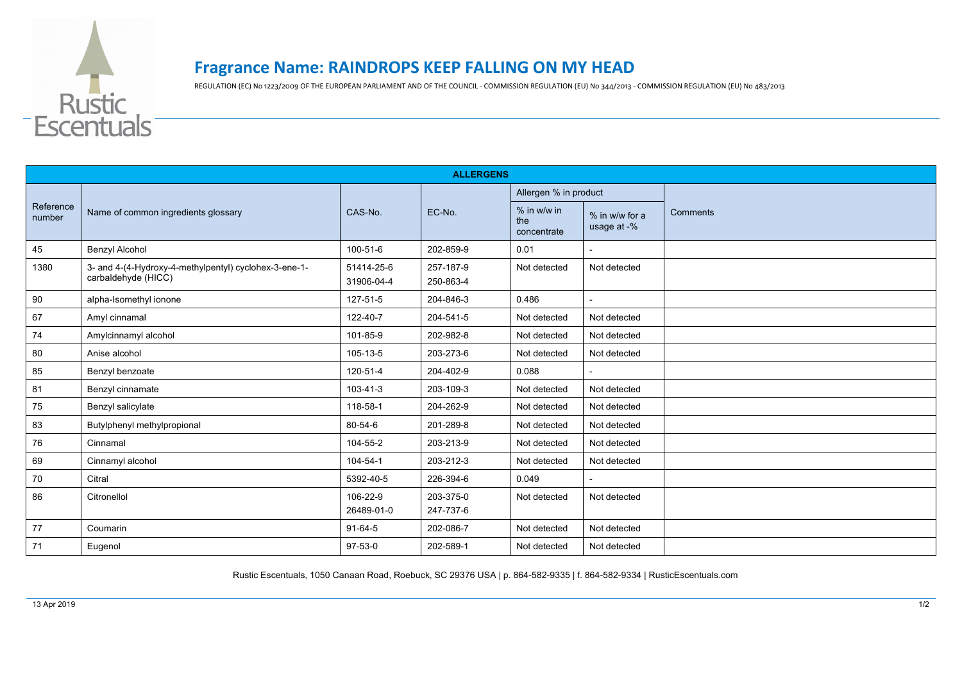

## **Fragrance Name: RAINDROPS KEEP FALLING ON MY HEAD**

REGULATION (EC) No 1223/2009 OF THE EUROPEAN PARLIAMENT AND OF THE COUNCIL - COMMISSION REGULATION (EU) No 344/2013 - COMMISSION REGULATION (EU) No 483/2013

| <b>ALLERGENS</b>    |                                                                              |                          |                        |                                   |                               |          |  |  |
|---------------------|------------------------------------------------------------------------------|--------------------------|------------------------|-----------------------------------|-------------------------------|----------|--|--|
| Reference<br>number | Name of common ingredients glossary                                          | CAS-No.                  | EC-No.                 | Allergen % in product             |                               |          |  |  |
|                     |                                                                              |                          |                        | % in w/w in<br>the<br>concentrate | % in w/w for a<br>usage at -% | Comments |  |  |
| 45                  | <b>Benzyl Alcohol</b>                                                        | 100-51-6                 | 202-859-9              | 0.01                              | $\overline{\phantom{a}}$      |          |  |  |
| 1380                | 3- and 4-(4-Hydroxy-4-methylpentyl) cyclohex-3-ene-1-<br>carbaldehyde (HICC) | 51414-25-6<br>31906-04-4 | 257-187-9<br>250-863-4 | Not detected                      | Not detected                  |          |  |  |
| 90                  | alpha-Isomethyl ionone                                                       | 127-51-5                 | 204-846-3              | 0.486                             |                               |          |  |  |
| 67                  | Amyl cinnamal                                                                | 122-40-7                 | 204-541-5              | Not detected                      | Not detected                  |          |  |  |
| 74                  | Amylcinnamyl alcohol                                                         | 101-85-9                 | 202-982-8              | Not detected                      | Not detected                  |          |  |  |
| 80                  | Anise alcohol                                                                | 105-13-5                 | 203-273-6              | Not detected                      | Not detected                  |          |  |  |
| 85                  | Benzyl benzoate                                                              | 120-51-4                 | 204-402-9              | 0.088                             |                               |          |  |  |
| 81                  | Benzyl cinnamate                                                             | 103-41-3                 | 203-109-3              | Not detected                      | Not detected                  |          |  |  |
| 75                  | Benzyl salicylate                                                            | 118-58-1                 | 204-262-9              | Not detected                      | Not detected                  |          |  |  |
| 83                  | Butylphenyl methylpropional                                                  | 80-54-6                  | 201-289-8              | Not detected                      | Not detected                  |          |  |  |
| 76                  | Cinnamal                                                                     | 104-55-2                 | 203-213-9              | Not detected                      | Not detected                  |          |  |  |
| 69                  | Cinnamyl alcohol                                                             | 104-54-1                 | 203-212-3              | Not detected                      | Not detected                  |          |  |  |
| 70                  | Citral                                                                       | 5392-40-5                | 226-394-6              | 0.049                             |                               |          |  |  |
| 86                  | Citronellol                                                                  | 106-22-9<br>26489-01-0   | 203-375-0<br>247-737-6 | Not detected                      | Not detected                  |          |  |  |
| 77                  | Coumarin                                                                     | $91-64-5$                | 202-086-7              | Not detected                      | Not detected                  |          |  |  |
| 71                  | Eugenol                                                                      | $97-53-0$                | 202-589-1              | Not detected                      | Not detected                  |          |  |  |

Rustic Escentuals, 1050 Canaan Road, Roebuck, SC 29376 USA | p. 864-582-9335 | f. 864-582-9334 | RusticEscentuals.com